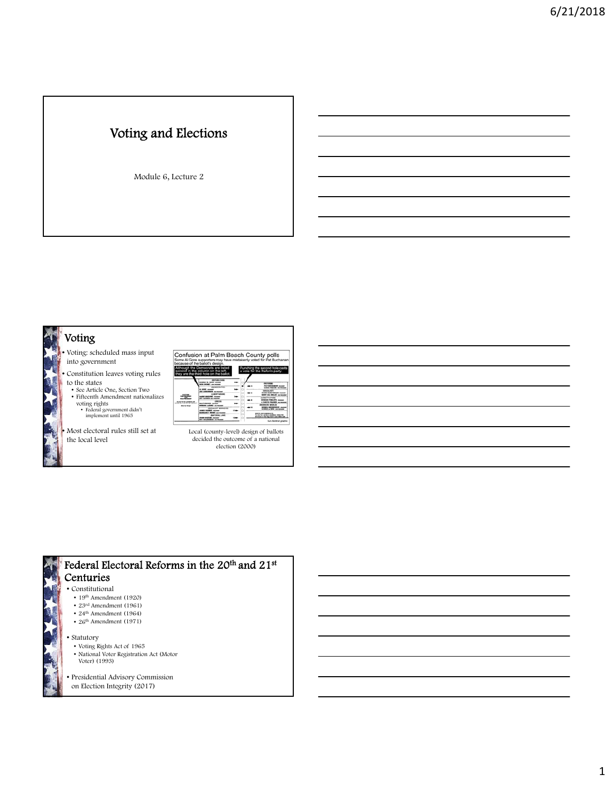# Voting and Elections

Module 6, Lecture 2

# Voting

- Voting: scheduled mass input into government
- Constitution leaves voting rules to the states
- See Article One, Section Two Fifteenth Amendment nationalizes voting rights • Federal government didn't implement until 1965
- Democrats are listed<br>column on the left, a vote for the Re<br>ind hole on the ballot. ≂⊚  $\overline{\phantom{a}}$  $\frac{1}{2}$  $\begin{array}{l} \frac{\partial \mathcal{L}(\mathcal{L},\mathcal{L})}{\partial \mathcal{L}} \mathcal{L}(\mathcal{L},\mathcal{L}) \rightarrow \mathcal{L}(\mathcal{L},\mathcal{L}) \rightarrow \mathcal{L}(\mathcal{L},\mathcal{L}) \rightarrow \mathcal{L}(\mathcal{L},\mathcal{L}) \rightarrow \mathcal{L}(\mathcal{L},\mathcal{L}) \rightarrow \mathcal{L}(\mathcal{L},\mathcal{L}) \rightarrow \mathcal{L}(\mathcal{L},\mathcal{L}) \rightarrow \mathcal{L}(\mathcal{L},\mathcal{L}) \rightarrow \mathcal{L}(\mathcal{L},\mathcal{L}) \rightarrow \math$  $\overline{\phantom{a}}$  $\ddot{=}$  $\overline{\phantom{a}}$  $\equiv$ MARKET AN CAMERADA FOR<br>The sense for a second to considerate in Advance Mar<br>Westman on the foregoing of all place further rest  $\overline{a}$

Confusion at Palm Beach County polls<br>Some Al Gore supporters may have mistakenly voted for Pat Buche

• Most electoral rules still set at the local level



decided the outcome of a national election (2000)



- 
- 23rd Amendment (1961)
- 24th Amendment (1964)  $\bullet$  26<sup>th</sup> Amendment (1971)
- 
- Statutory
	- Voting Rights Act of 1965
	- National Voter Registration Act (Motor
- Voter) (1993)
- Presidential Advisory Commission
- on Election Integrity (2017)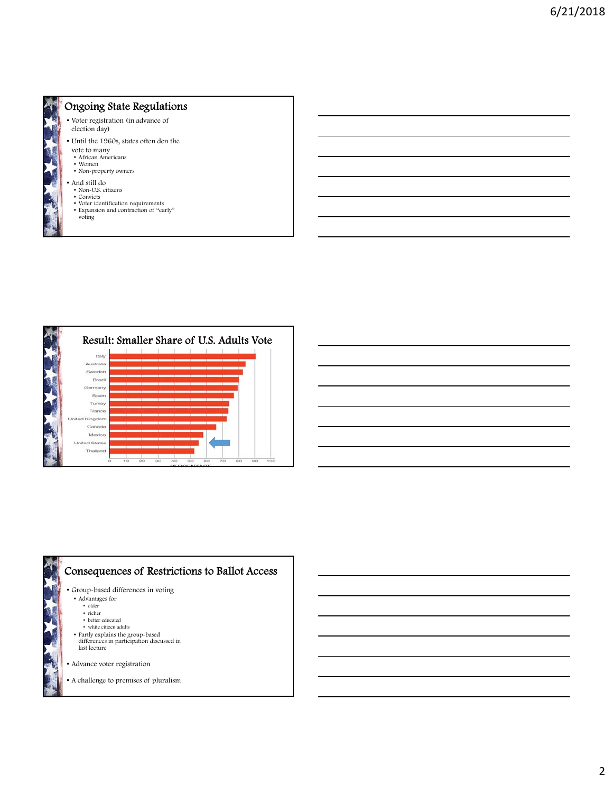

#### Ongoing State Regulations

- Voter registration (in advance of election day)
- Until the 1960s, states often den the vote to many
- African Americans
- Women • Non-property owners
- 
- And still do • Non-U.S. citizens
- Convicts
- Voter identification requirements
- Expansion and contraction of "early" voting





| and the control of the control of the control of the control of the control of the control of the control of th                                                                                                                      |  |  |  |
|--------------------------------------------------------------------------------------------------------------------------------------------------------------------------------------------------------------------------------------|--|--|--|
| <u>. In the contract of the contract of the contract of the contract of the contract of the contract of the contract of the contract of the contract of the contract of the contract of the contract of the contract of the cont</u> |  |  |  |
| <u> Alexandro de la contrada de la contrada de la contrada de la contrada de la contrada de la contrada de la con</u>                                                                                                                |  |  |  |
|                                                                                                                                                                                                                                      |  |  |  |
|                                                                                                                                                                                                                                      |  |  |  |
|                                                                                                                                                                                                                                      |  |  |  |
|                                                                                                                                                                                                                                      |  |  |  |

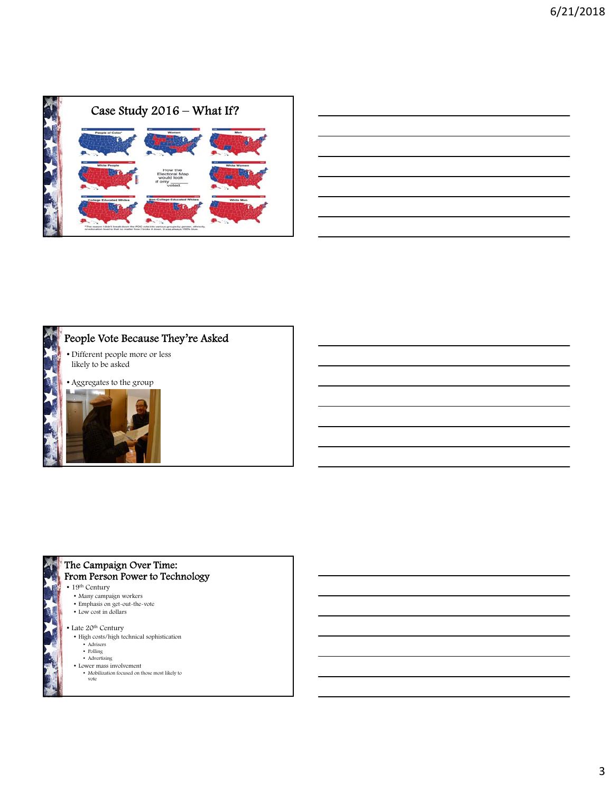

| <u> 1989 - Johann Stoff, amerikansk politiker (d. 1989)</u> |  |  |
|-------------------------------------------------------------|--|--|
|                                                             |  |  |
|                                                             |  |  |
|                                                             |  |  |
|                                                             |  |  |





#### The Campaign Over Time: From Person Power to Technology

- 19<sup>th</sup> Century
- Many campaign workers
- Emphasis on get-out-the-vote
- Low cost in dollars
- Late 20<sup>th</sup> Century
- High costs/high technical sophistication
- Advisers
- Polling Advertising
- Lower mass involvement
- Mobilization focused on those most likely to vote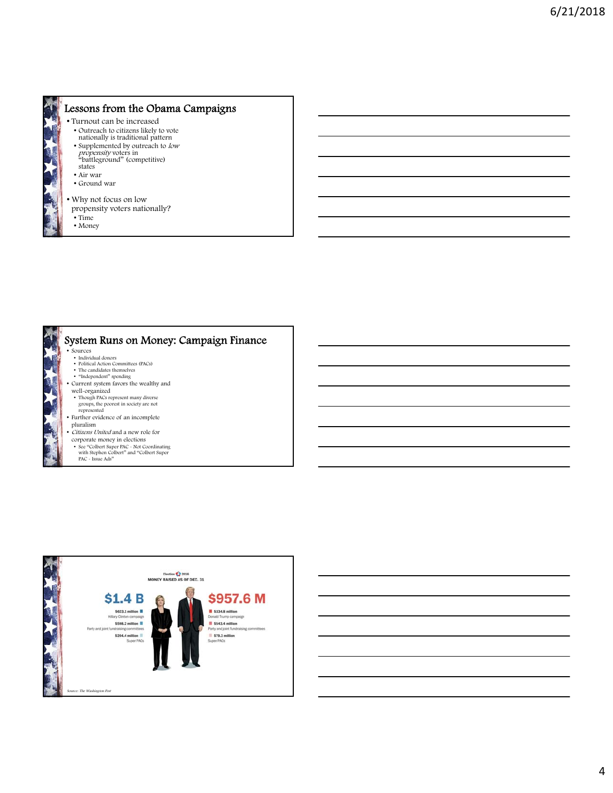

### Lessons from the Obama Campaigns

- Turnout can be increased
- Outreach to citizens likely to vote nationally is traditional pattern
- Supplemented by outreach to low
- propensity voters in<br>"battleground" (competitive)
- states
- Air war
- Ground war
- Why not focus on low
- propensity voters nationally?
- Time
- Money



#### • Sources System Runs on Money: Campaign Finance

- 
- Individual donors Political Action Committees (PACs) The candidates themselves
- "Independent" spending Current system favors the wealthy and
- well-organized
- Though PACs represent many diverse groups, the poorest in society are not represented
- Further evidence of an incomplete
- pluralism • *Citizens United* and a new role for
- corporate money in elections
	- See "Colbert Super PAC Not Coordinating with Stephen Colbert" and "Colbert Super PAC Issue Ads"
- 



4